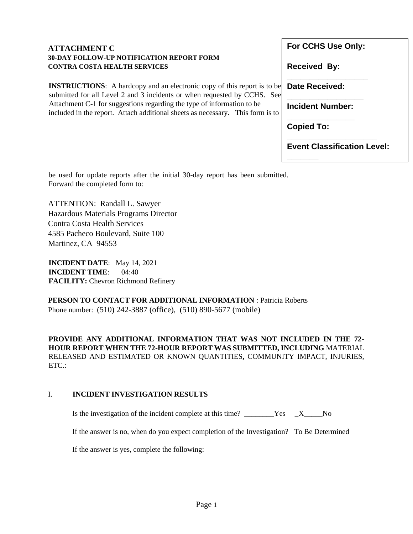| <b>ATTACHMENT C</b>                                                                                                                                        | For CCHS Use Only:                 |
|------------------------------------------------------------------------------------------------------------------------------------------------------------|------------------------------------|
| <b>30-DAY FOLLOW-UP NOTIFICATION REPORT FORM</b><br><b>CONTRA COSTA HEALTH SERVICES</b>                                                                    | <b>Received By:</b>                |
| <b>INSTRUCTIONS:</b> A hardcopy and an electronic copy of this report is to be<br>submitted for all Level 2 and 3 incidents or when requested by CCHS. See | <b>Date Received:</b>              |
| Attachment C-1 for suggestions regarding the type of information to be<br>included in the report. Attach additional sheets as necessary. This form is to   | <b>Incident Number:</b>            |
|                                                                                                                                                            | <b>Copied To:</b>                  |
|                                                                                                                                                            | <b>Event Classification Level:</b> |
|                                                                                                                                                            |                                    |

be used for update reports after the initial 30-day report has been submitted. Forward the completed form to:

ATTENTION: Randall L. Sawyer Hazardous Materials Programs Director Contra Costa Health Services 4585 Pacheco Boulevard, Suite 100 Martinez, CA 94553

**INCIDENT DATE**: May 14, 2021 **INCIDENT TIME**: 04:40 **FACILITY:** Chevron Richmond Refinery

**PERSON TO CONTACT FOR ADDITIONAL INFORMATION** : Patricia Roberts Phone number: (510) 242-3887 (office), (510) 890-5677 (mobile)

**PROVIDE ANY ADDITIONAL INFORMATION THAT WAS NOT INCLUDED IN THE 72- HOUR REPORT WHEN THE 72-HOUR REPORT WAS SUBMITTED, INCLUDING** MATERIAL RELEASED AND ESTIMATED OR KNOWN QUANTITIES**,** COMMUNITY IMPACT, INJURIES, ETC.:

## I. **INCIDENT INVESTIGATION RESULTS**

Is the investigation of the incident complete at this time?  $X$  No

If the answer is no, when do you expect completion of the Investigation? To Be Determined

If the answer is yes, complete the following: